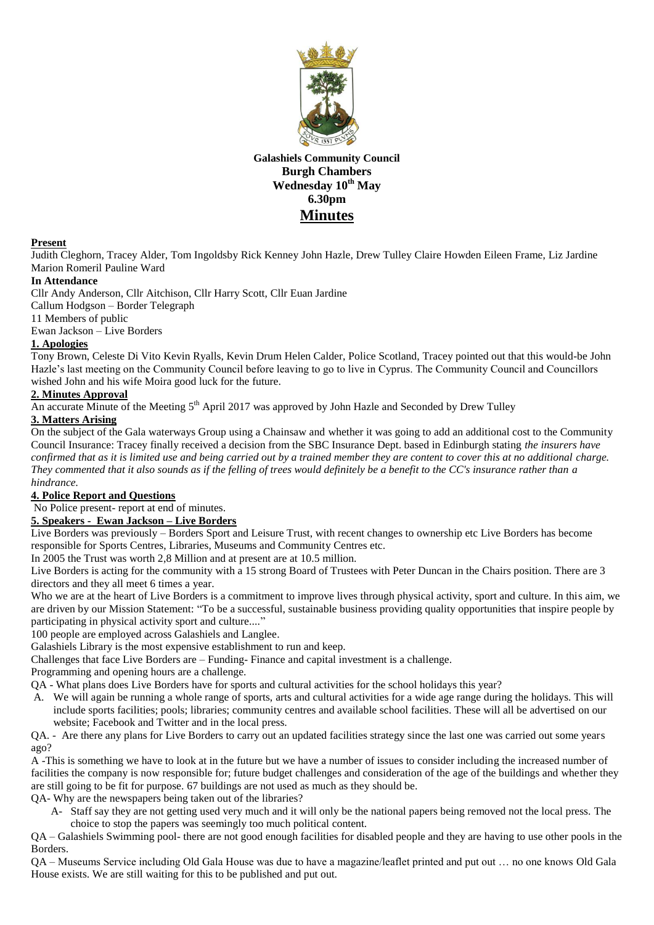

**Galashiels Community Council Burgh Chambers Wednesday 10th May 6.30pm Minutes**

#### **Present**

Judith Cleghorn, Tracey Alder, Tom Ingoldsby Rick Kenney John Hazle, Drew Tulley Claire Howden Eileen Frame, Liz Jardine Marion Romeril Pauline Ward

#### **In Attendance**

Cllr Andy Anderson, Cllr Aitchison, Cllr Harry Scott, Cllr Euan Jardine

Callum Hodgson – Border Telegraph

11 Members of public

Ewan Jackson – Live Borders

# **1. Apologies**

Tony Brown, Celeste Di Vito Kevin Ryalls, Kevin Drum Helen Calder, Police Scotland, Tracey pointed out that this would-be John Hazle's last meeting on the Community Council before leaving to go to live in Cyprus. The Community Council and Councillors wished John and his wife Moira good luck for the future.

## **2. Minutes Approval**

An accurate Minute of the Meeting 5<sup>th</sup> April 2017 was approved by John Hazle and Seconded by Drew Tulley

# **3. Matters Arising**

On the subject of the Gala waterways Group using a Chainsaw and whether it was going to add an additional cost to the Community Council Insurance: Tracey finally received a decision from the SBC Insurance Dept. based in Edinburgh stating *the insurers have confirmed that as it is limited use and being carried out by a trained member they are content to cover this at no additional charge. They commented that it also sounds as if the felling of trees would definitely be a benefit to the CC's insurance rather than a hindrance.*

#### **4. Police Report and Questions**

No Police present- report at end of minutes.

#### **5. Speakers - Ewan Jackson – Live Borders**

Live Borders was previously – Borders Sport and Leisure Trust, with recent changes to ownership etc Live Borders has become responsible for Sports Centres, Libraries, Museums and Community Centres etc.

In 2005 the Trust was worth 2,8 Million and at present are at 10.5 million.

Live Borders is acting for the community with a 15 strong Board of Trustees with Peter Duncan in the Chairs position. There are 3 directors and they all meet 6 times a year.

Who we are at the heart of Live Borders is a commitment to improve lives through physical activity, sport and culture. In this aim, we are driven by our Mission Statement: "To be a successful, sustainable business providing quality opportunities that inspire people by participating in physical activity sport and culture...."

100 people are employed across Galashiels and Langlee.

Galashiels Library is the most expensive establishment to run and keep.

Challenges that face Live Borders are – Funding- Finance and capital investment is a challenge.

Programming and opening hours are a challenge.

- QA What plans does Live Borders have for sports and cultural activities for the school holidays this year?
- A. We will again be running a whole range of sports, arts and cultural activities for a wide age range during the holidays. This will include sports facilities; pools; libraries; community centres and available school facilities. These will all be advertised on our website; Facebook and Twitter and in the local press.

QA. - Are there any plans for Live Borders to carry out an updated facilities strategy since the last one was carried out some years ago?

A -This is something we have to look at in the future but we have a number of issues to consider including the increased number of facilities the company is now responsible for; future budget challenges and consideration of the age of the buildings and whether they are still going to be fit for purpose. 67 buildings are not used as much as they should be.

QA- Why are the newspapers being taken out of the libraries?

A- Staff say they are not getting used very much and it will only be the national papers being removed not the local press. The choice to stop the papers was seemingly too much political content.

QA – Galashiels Swimming pool- there are not good enough facilities for disabled people and they are having to use other pools in the Borders.

QA – Museums Service including Old Gala House was due to have a magazine/leaflet printed and put out … no one knows Old Gala House exists. We are still waiting for this to be published and put out.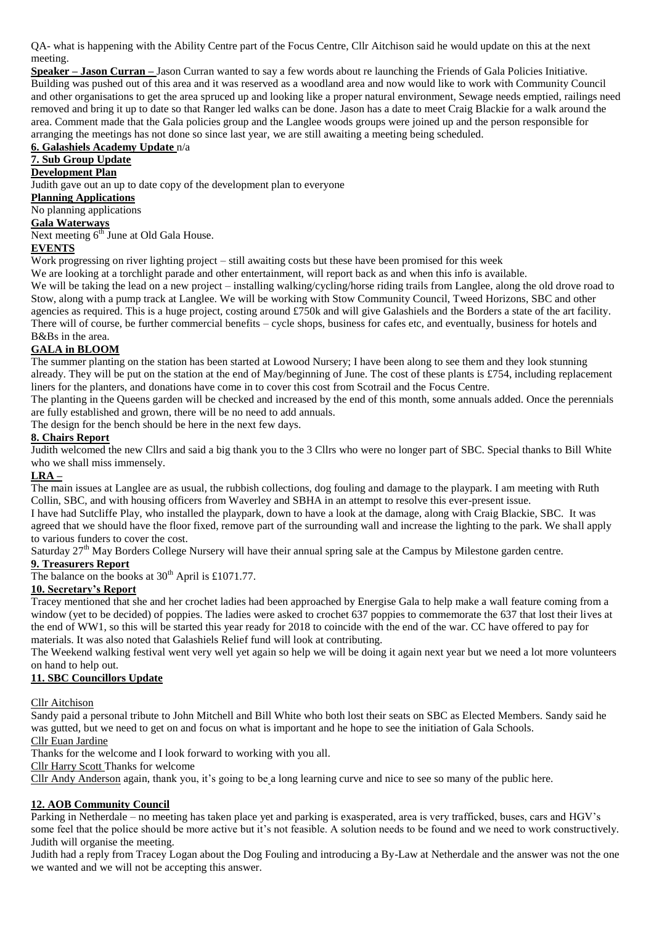QA- what is happening with the Ability Centre part of the Focus Centre, Cllr Aitchison said he would update on this at the next meeting.

**Speaker – Jason Curran –** Jason Curran wanted to say a few words about re launching the Friends of Gala Policies Initiative. Building was pushed out of this area and it was reserved as a woodland area and now would like to work with Community Council and other organisations to get the area spruced up and looking like a proper natural environment, Sewage needs emptied, railings need removed and bring it up to date so that Ranger led walks can be done. Jason has a date to meet Craig Blackie for a walk around the area. Comment made that the Gala policies group and the Langlee woods groups were joined up and the person responsible for arranging the meetings has not done so since last year, we are still awaiting a meeting being scheduled.

## **6. Galashiels Academy Update** n/a

# **7. Sub Group Update**

# **Development Plan**

Judith gave out an up to date copy of the development plan to everyone

**Planning Applications**

No planning applications

# **Gala Waterways**

Next meeting  $6<sup>th</sup>$  June at Old Gala House.

#### **EVENTS**

Work progressing on river lighting project – still awaiting costs but these have been promised for this week

We are looking at a torchlight parade and other entertainment, will report back as and when this info is available.

We will be taking the lead on a new project – installing walking/cycling/horse riding trails from Langlee, along the old drove road to Stow, along with a pump track at Langlee. We will be working with Stow Community Council, Tweed Horizons, SBC and other agencies as required. This is a huge project, costing around £750k and will give Galashiels and the Borders a state of the art facility. There will of course, be further commercial benefits – cycle shops, business for cafes etc, and eventually, business for hotels and B&Bs in the area.

#### **GALA in BLOOM**

The summer planting on the station has been started at Lowood Nursery; I have been along to see them and they look stunning already. They will be put on the station at the end of May/beginning of June. The cost of these plants is £754, including replacement liners for the planters, and donations have come in to cover this cost from Scotrail and the Focus Centre.

The planting in the Queens garden will be checked and increased by the end of this month, some annuals added. Once the perennials are fully established and grown, there will be no need to add annuals.

The design for the bench should be here in the next few days.

## **8. Chairs Report**

Judith welcomed the new Cllrs and said a big thank you to the 3 Cllrs who were no longer part of SBC. Special thanks to Bill White who we shall miss immensely.

## **LRA –**

The main issues at Langlee are as usual, the rubbish collections, dog fouling and damage to the playpark. I am meeting with Ruth Collin, SBC, and with housing officers from Waverley and SBHA in an attempt to resolve this ever-present issue.

I have had Sutcliffe Play, who installed the playpark, down to have a look at the damage, along with Craig Blackie, SBC. It was agreed that we should have the floor fixed, remove part of the surrounding wall and increase the lighting to the park. We shall apply to various funders to cover the cost.

Saturday 27<sup>th</sup> May Borders College Nursery will have their annual spring sale at the Campus by Milestone garden centre.

#### **9. Treasurers Report**

The balance on the books at  $30<sup>th</sup>$  April is £1071.77.

#### **10. Secretary's Report**

Tracey mentioned that she and her crochet ladies had been approached by Energise Gala to help make a wall feature coming from a window (yet to be decided) of poppies. The ladies were asked to crochet 637 poppies to commemorate the 637 that lost their lives at the end of WW1, so this will be started this year ready for 2018 to coincide with the end of the war. CC have offered to pay for materials. It was also noted that Galashiels Relief fund will look at contributing.

The Weekend walking festival went very well yet again so help we will be doing it again next year but we need a lot more volunteers on hand to help out.

## **11. SBC Councillors Update**

Cllr Aitchison

Sandy paid a personal tribute to John Mitchell and Bill White who both lost their seats on SBC as Elected Members. Sandy said he was gutted, but we need to get on and focus on what is important and he hope to see the initiation of Gala Schools.

Cllr Euan Jardine

Thanks for the welcome and I look forward to working with you all.

Cllr Harry Scott Thanks for welcome

Cllr Andy Anderson again, thank you, it's going to be a long learning curve and nice to see so many of the public here.

#### **12. AOB Community Council**

Parking in Netherdale – no meeting has taken place yet and parking is exasperated, area is very trafficked, buses, cars and HGV's some feel that the police should be more active but it's not feasible. A solution needs to be found and we need to work constructively. Judith will organise the meeting.

Judith had a reply from Tracey Logan about the Dog Fouling and introducing a By-Law at Netherdale and the answer was not the one we wanted and we will not be accepting this answer.